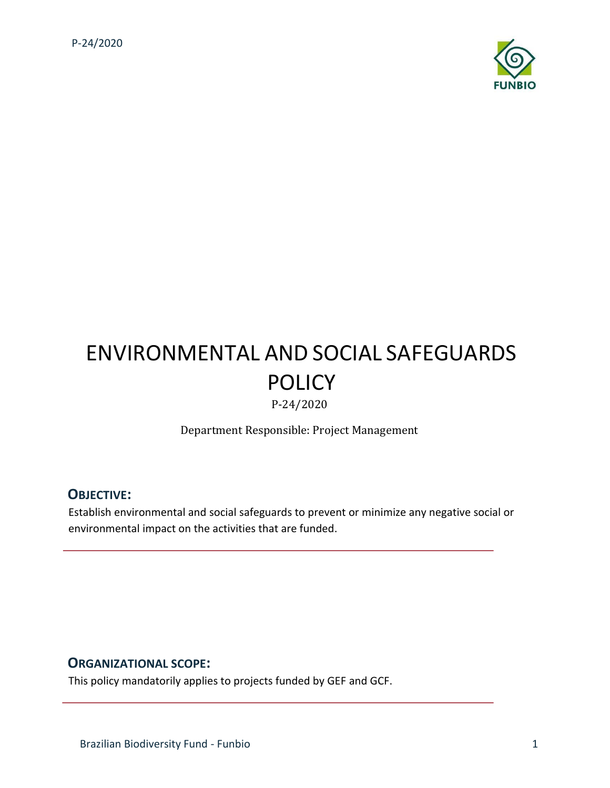

# ENVIRONMENTAL AND SOCIAL SAFEGUARDS POLICY

P-24/2020

Department Responsible: Project Management

### **OBJECTIVE:**

Establish environmental and social safeguards to prevent or minimize any negative social or environmental impact on the activities that are funded.

#### **ORGANIZATIONAL SCOPE:**

This policy mandatorily applies to projects funded by GEF and GCF.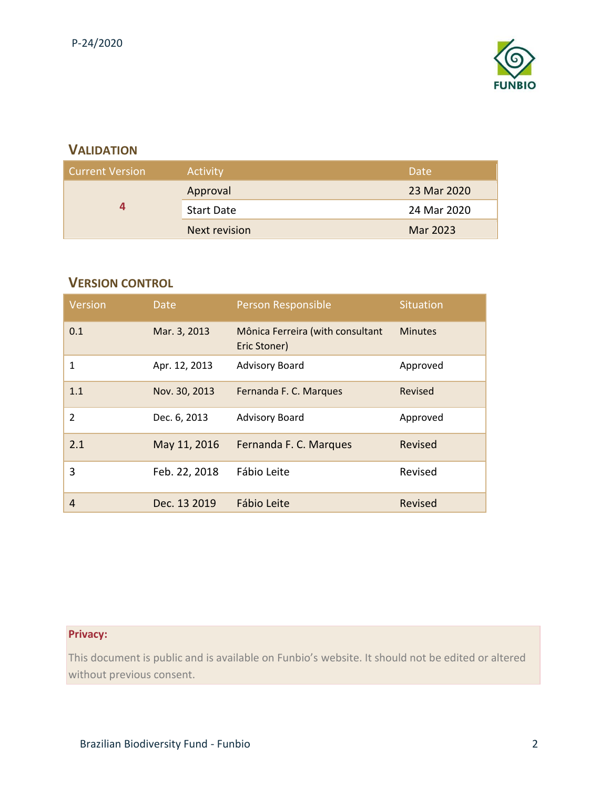

# **VALIDATION**

| <b>Current Version</b> | Activity          | Date        |
|------------------------|-------------------|-------------|
|                        | Approval          | 23 Mar 2020 |
| д                      | <b>Start Date</b> | 24 Mar 2020 |
|                        | Next revision     | Mar 2023    |

## **VERSION CONTROL**

| Version        | Date          | Person Responsible                               | <b>Situation</b> |
|----------------|---------------|--------------------------------------------------|------------------|
| 0.1            | Mar. 3, 2013  | Mônica Ferreira (with consultant<br>Eric Stoner) | <b>Minutes</b>   |
| 1              | Apr. 12, 2013 | <b>Advisory Board</b>                            | Approved         |
| 1.1            | Nov. 30, 2013 | Fernanda F. C. Marques                           | Revised          |
| $\mathfrak{p}$ | Dec. 6, 2013  | <b>Advisory Board</b>                            | Approved         |
| 2.1            | May 11, 2016  | Fernanda F. C. Marques                           | Revised          |
| 3              | Feb. 22, 2018 | Fábio Leite                                      | Revised          |
| 4              | Dec. 13 2019  | Fábio Leite                                      | Revised          |

# **Privacy:**

This document is public and is available on Funbio's website. It should not be edited or altered without previous consent.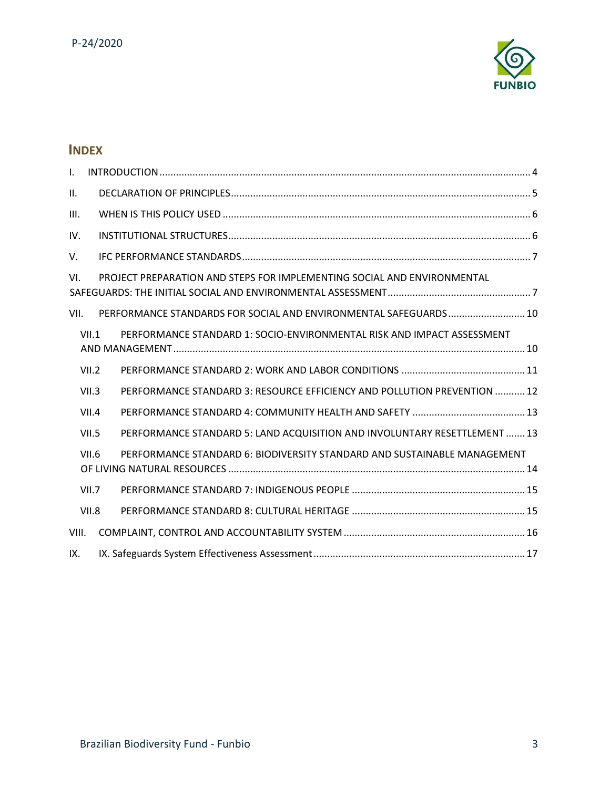

# **INDEX**

| $\mathbf{L}$ |       |  |                                                                           |  |
|--------------|-------|--|---------------------------------------------------------------------------|--|
| II.          |       |  |                                                                           |  |
| III.         |       |  |                                                                           |  |
| IV.          |       |  |                                                                           |  |
| V.           |       |  |                                                                           |  |
| VI.          |       |  | PROJECT PREPARATION AND STEPS FOR IMPLEMENTING SOCIAL AND ENVIRONMENTAL   |  |
| VII.         |       |  | PERFORMANCE STANDARDS FOR SOCIAL AND ENVIRONMENTAL SAFEGUARDS 10          |  |
|              | VII.1 |  | PERFORMANCE STANDARD 1: SOCIO-ENVIRONMENTAL RISK AND IMPACT ASSESSMENT    |  |
|              | VII.2 |  |                                                                           |  |
|              | VII.3 |  | PERFORMANCE STANDARD 3: RESOURCE EFFICIENCY AND POLLUTION PREVENTION  12  |  |
|              | VII.4 |  |                                                                           |  |
|              | VII.5 |  | PERFORMANCE STANDARD 5: LAND ACQUISITION AND INVOLUNTARY RESETTLEMENT  13 |  |
|              | VII.6 |  | PERFORMANCE STANDARD 6: BIODIVERSITY STANDARD AND SUSTAINABLE MANAGEMENT  |  |
|              | VII.7 |  |                                                                           |  |
|              | VII.8 |  |                                                                           |  |
| VIII.        |       |  |                                                                           |  |
| IX.          |       |  |                                                                           |  |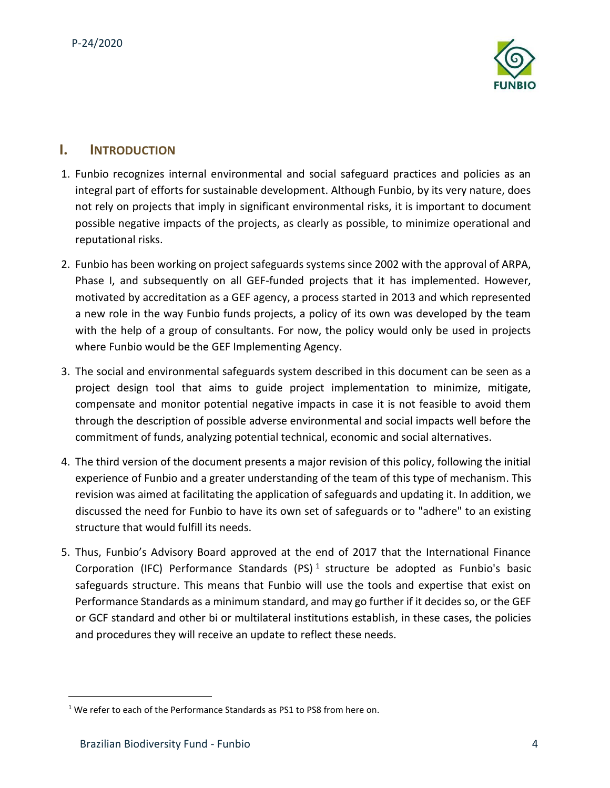

## <span id="page-3-0"></span>**I. INTRODUCTION**

- 1. Funbio recognizes internal environmental and social safeguard practices and policies as an integral part of efforts for sustainable development. Although Funbio, by its very nature, does not rely on projects that imply in significant environmental risks, it is important to document possible negative impacts of the projects, as clearly as possible, to minimize operational and reputational risks.
- 2. Funbio has been working on project safeguards systems since 2002 with the approval of ARPA, Phase I, and subsequently on all GEF-funded projects that it has implemented. However, motivated by accreditation as a GEF agency, a process started in 2013 and which represented a new role in the way Funbio funds projects, a policy of its own was developed by the team with the help of a group of consultants. For now, the policy would only be used in projects where Funbio would be the GEF Implementing Agency.
- 3. The social and environmental safeguards system described in this document can be seen as a project design tool that aims to guide project implementation to minimize, mitigate, compensate and monitor potential negative impacts in case it is not feasible to avoid them through the description of possible adverse environmental and social impacts well before the commitment of funds, analyzing potential technical, economic and social alternatives.
- 4. The third version of the document presents a major revision of this policy, following the initial experience of Funbio and a greater understanding of the team of this type of mechanism. This revision was aimed at facilitating the application of safeguards and updating it. In addition, we discussed the need for Funbio to have its own set of safeguards or to "adhere" to an existing structure that would fulfill its needs.
- 5. Thus, Funbio's Advisory Board approved at the end of 2017 that the International Finance Corporation (IFC) Performance Standards (PS)<sup>1</sup> structure be adopted as Funbio's basic safeguards structure. This means that Funbio will use the tools and expertise that exist on Performance Standards as a minimum standard, and may go further if it decides so, or the GEF or GCF standard and other bi or multilateral institutions establish, in these cases, the policies and procedures they will receive an update to reflect these needs.

 $1$  We refer to each of the Performance Standards as PS1 to PS8 from here on.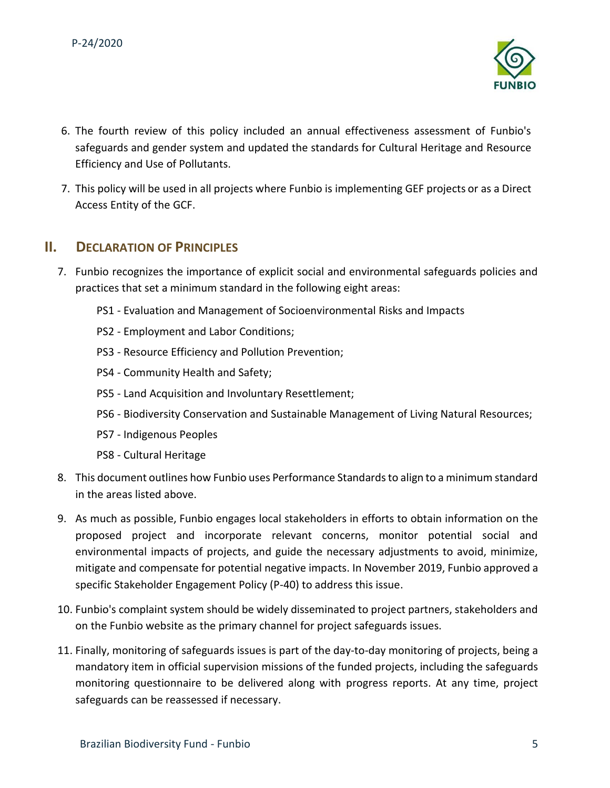

- 6. The fourth review of this policy included an annual effectiveness assessment of Funbio's safeguards and gender system and updated the standards for Cultural Heritage and Resource Efficiency and Use of Pollutants.
- 7. This policy will be used in all projects where Funbio is implementing GEF projects or as a Direct Access Entity of the GCF.

## <span id="page-4-0"></span>**II. DECLARATION OF PRINCIPLES**

- 7. Funbio recognizes the importance of explicit social and environmental safeguards policies and practices that set a minimum standard in the following eight areas:
	- PS1 Evaluation and Management of Socioenvironmental Risks and Impacts
	- PS2 Employment and Labor Conditions;
	- PS3 Resource Efficiency and Pollution Prevention;
	- PS4 Community Health and Safety;
	- PS5 Land Acquisition and Involuntary Resettlement;
	- PS6 Biodiversity Conservation and Sustainable Management of Living Natural Resources;
	- PS7 Indigenous Peoples
	- PS8 Cultural Heritage
- 8. This document outlines how Funbio uses Performance Standards to align to a minimum standard in the areas listed above.
- 9. As much as possible, Funbio engages local stakeholders in efforts to obtain information on the proposed project and incorporate relevant concerns, monitor potential social and environmental impacts of projects, and guide the necessary adjustments to avoid, minimize, mitigate and compensate for potential negative impacts. In November 2019, Funbio approved a specific Stakeholder Engagement Policy (P-40) to address this issue.
- 10. Funbio's complaint system should be widely disseminated to project partners, stakeholders and on the Funbio website as the primary channel for project safeguards issues.
- 11. Finally, monitoring of safeguards issues is part of the day-to-day monitoring of projects, being a mandatory item in official supervision missions of the funded projects, including the safeguards monitoring questionnaire to be delivered along with progress reports. At any time, project safeguards can be reassessed if necessary.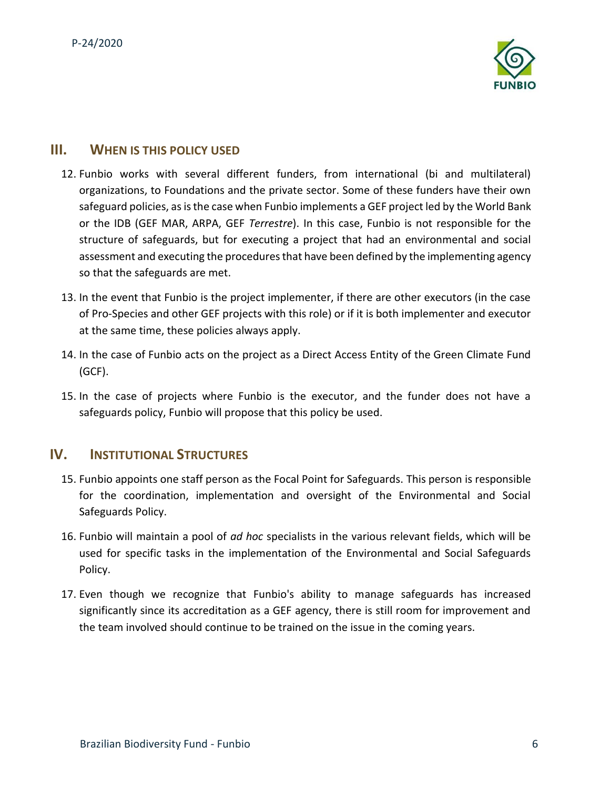

### <span id="page-5-0"></span>**III. WHEN IS THIS POLICY USED**

- 12. Funbio works with several different funders, from international (bi and multilateral) organizations, to Foundations and the private sector. Some of these funders have their own safeguard policies, as is the case when Funbio implements a GEF project led by the World Bank or the IDB (GEF MAR, ARPA, GEF *Terrestre*). In this case, Funbio is not responsible for the structure of safeguards, but for executing a project that had an environmental and social assessment and executing the procedures that have been defined by the implementing agency so that the safeguards are met.
- 13. In the event that Funbio is the project implementer, if there are other executors (in the case of Pro-Species and other GEF projects with this role) or if it is both implementer and executor at the same time, these policies always apply.
- 14. In the case of Funbio acts on the project as a Direct Access Entity of the Green Climate Fund (GCF).
- 15. In the case of projects where Funbio is the executor, and the funder does not have a safeguards policy, Funbio will propose that this policy be used.

## <span id="page-5-1"></span>**IV. INSTITUTIONAL STRUCTURES**

- 15. Funbio appoints one staff person as the Focal Point for Safeguards. This person is responsible for the coordination, implementation and oversight of the Environmental and Social Safeguards Policy.
- 16. Funbio will maintain a pool of *ad hoc* specialists in the various relevant fields, which will be used for specific tasks in the implementation of the Environmental and Social Safeguards Policy.
- 17. Even though we recognize that Funbio's ability to manage safeguards has increased significantly since its accreditation as a GEF agency, there is still room for improvement and the team involved should continue to be trained on the issue in the coming years.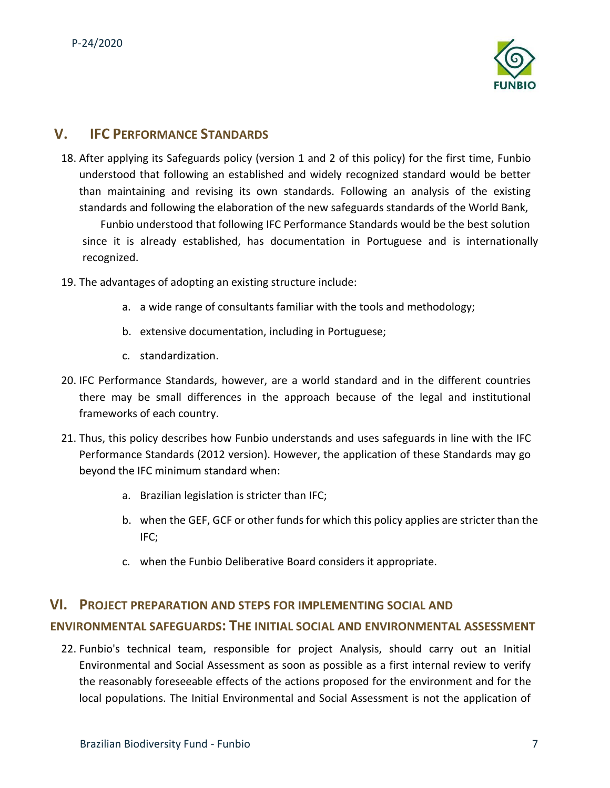

## <span id="page-6-0"></span>**V. IFC PERFORMANCE STANDARDS**

- 18. After applying its Safeguards policy (version 1 and 2 of this policy) for the first time, Funbio understood that following an established and widely recognized standard would be better than maintaining and revising its own standards. Following an analysis of the existing standards and following the elaboration of the new safeguards standards of the World Bank, Funbio understood that following IFC Performance Standards would be the best solution since it is already established, has documentation in Portuguese and is internationally recognized.
- 19. The advantages of adopting an existing structure include:
	- a. a wide range of consultants familiar with the tools and methodology;
	- b. extensive documentation, including in Portuguese;
	- c. standardization.
- 20. IFC Performance Standards, however, are a world standard and in the different countries there may be small differences in the approach because of the legal and institutional frameworks of each country.
- 21. Thus, this policy describes how Funbio understands and uses safeguards in line with the IFC Performance Standards (2012 version). However, the application of these Standards may go beyond the IFC minimum standard when:
	- a. Brazilian legislation is stricter than IFC;
	- b. when the GEF, GCF or other funds for which this policy applies are stricter than the IFC;
	- c. when the Funbio Deliberative Board considers it appropriate.

# <span id="page-6-1"></span>**VI. PROJECT PREPARATION AND STEPS FOR IMPLEMENTING SOCIAL AND ENVIRONMENTAL SAFEGUARDS: THE INITIAL SOCIAL AND ENVIRONMENTAL ASSESSMENT**

22. Funbio's technical team, responsible for project Analysis, should carry out an Initial Environmental and Social Assessment as soon as possible as a first internal review to verify the reasonably foreseeable effects of the actions proposed for the environment and for the local populations. The Initial Environmental and Social Assessment is not the application of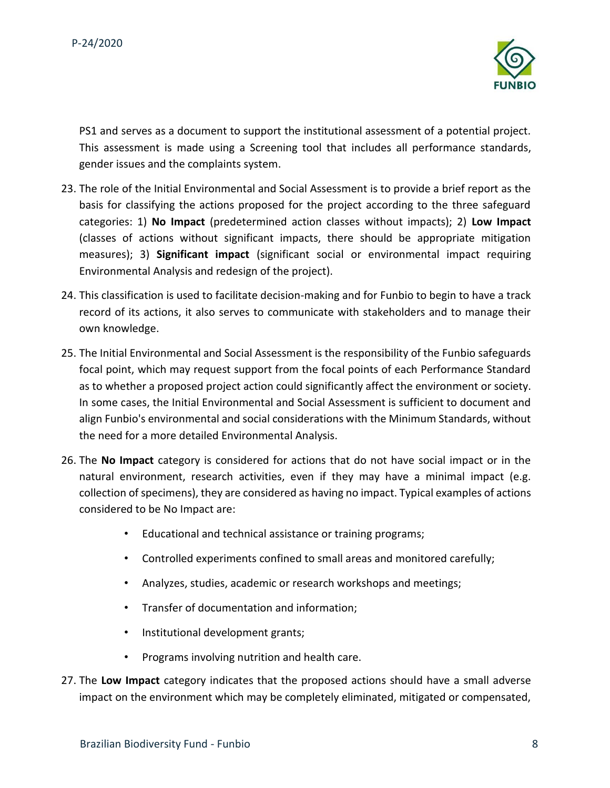

PS1 and serves as a document to support the institutional assessment of a potential project. This assessment is made using a Screening tool that includes all performance standards, gender issues and the complaints system.

- 23. The role of the Initial Environmental and Social Assessment is to provide a brief report as the basis for classifying the actions proposed for the project according to the three safeguard categories: 1) **No Impact** (predetermined action classes without impacts); 2) **Low Impact** (classes of actions without significant impacts, there should be appropriate mitigation measures); 3) **Significant impact** (significant social or environmental impact requiring Environmental Analysis and redesign of the project).
- 24. This classification is used to facilitate decision-making and for Funbio to begin to have a track record of its actions, it also serves to communicate with stakeholders and to manage their own knowledge.
- 25. The Initial Environmental and Social Assessment is the responsibility of the Funbio safeguards focal point, which may request support from the focal points of each Performance Standard as to whether a proposed project action could significantly affect the environment or society. In some cases, the Initial Environmental and Social Assessment is sufficient to document and align Funbio's environmental and social considerations with the Minimum Standards, without the need for a more detailed Environmental Analysis.
- 26. The **No Impact** category is considered for actions that do not have social impact or in the natural environment, research activities, even if they may have a minimal impact (e.g. collection of specimens), they are considered as having no impact. Typical examples of actions considered to be No Impact are:
	- Educational and technical assistance or training programs;
	- Controlled experiments confined to small areas and monitored carefully;
	- Analyzes, studies, academic or research workshops and meetings;
	- Transfer of documentation and information;
	- Institutional development grants;
	- Programs involving nutrition and health care.
- 27. The **Low Impact** category indicates that the proposed actions should have a small adverse impact on the environment which may be completely eliminated, mitigated or compensated,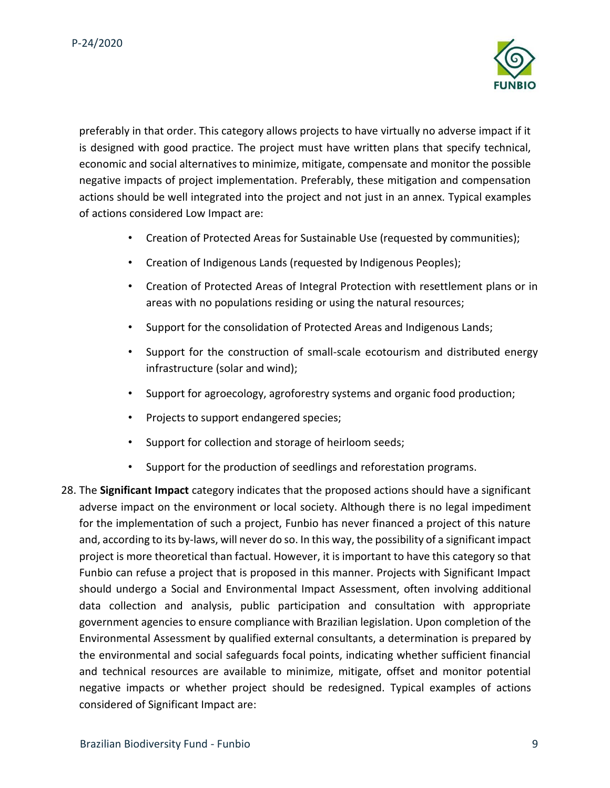

preferably in that order. This category allows projects to have virtually no adverse impact if it is designed with good practice. The project must have written plans that specify technical, economic and social alternatives to minimize, mitigate, compensate and monitor the possible negative impacts of project implementation. Preferably, these mitigation and compensation actions should be well integrated into the project and not just in an annex. Typical examples of actions considered Low Impact are:

- Creation of Protected Areas for Sustainable Use (requested by communities);
- Creation of Indigenous Lands (requested by Indigenous Peoples);
- Creation of Protected Areas of Integral Protection with resettlement plans or in areas with no populations residing or using the natural resources;
- Support for the consolidation of Protected Areas and Indigenous Lands;
- Support for the construction of small-scale ecotourism and distributed energy infrastructure (solar and wind);
- Support for agroecology, agroforestry systems and organic food production;
- Projects to support endangered species;
- Support for collection and storage of heirloom seeds;
- Support for the production of seedlings and reforestation programs.
- 28. The **Significant Impact** category indicates that the proposed actions should have a significant adverse impact on the environment or local society. Although there is no legal impediment for the implementation of such a project, Funbio has never financed a project of this nature and, according to its by-laws, will never do so. In this way, the possibility of a significant impact project is more theoretical than factual. However, it is important to have this category so that Funbio can refuse a project that is proposed in this manner. Projects with Significant Impact should undergo a Social and Environmental Impact Assessment, often involving additional data collection and analysis, public participation and consultation with appropriate government agencies to ensure compliance with Brazilian legislation. Upon completion of the Environmental Assessment by qualified external consultants, a determination is prepared by the environmental and social safeguards focal points, indicating whether sufficient financial and technical resources are available to minimize, mitigate, offset and monitor potential negative impacts or whether project should be redesigned. Typical examples of actions considered of Significant Impact are: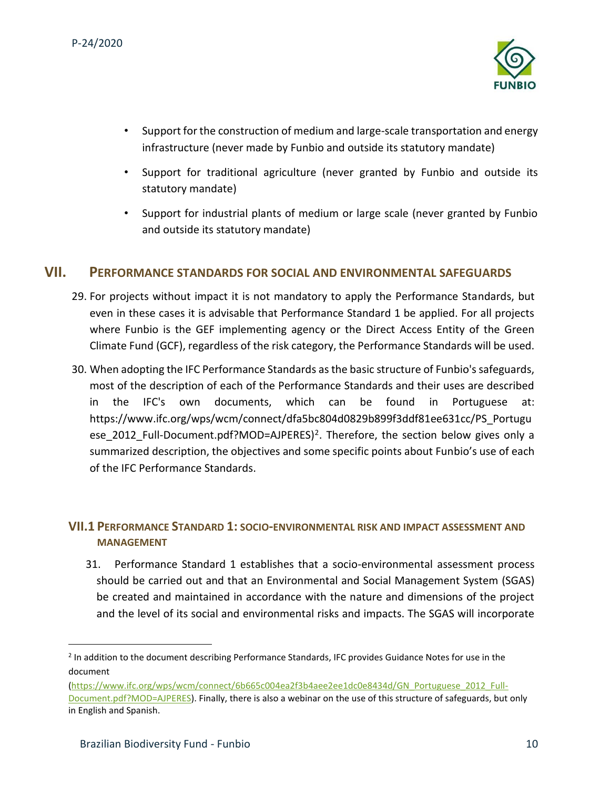

- Support for the construction of medium and large-scale transportation and energy infrastructure (never made by Funbio and outside its statutory mandate)
- Support for traditional agriculture (never granted by Funbio and outside its statutory mandate)
- Support for industrial plants of medium or large scale (never granted by Funbio and outside its statutory mandate)

#### <span id="page-9-0"></span>**VII. PERFORMANCE STANDARDS FOR SOCIAL AND ENVIRONMENTAL SAFEGUARDS**

- 29. For projects without impact it is not mandatory to apply the Performance Standards, but even in these cases it is advisable that Performance Standard 1 be applied. For all projects where Funbio is the GEF implementing agency or the Direct Access Entity of the Green Climate Fund (GCF), regardless of the risk category, the Performance Standards will be used.
- 30. When adopting the IFC Performance Standards as the basic structure of Funbio's safeguards, most of the description of each of the Performance Standards and their uses are described in the IFC's own documents, which can be found in Portuguese at: https://www.ifc.org/wps/wcm/connect/dfa5bc804d0829b899f3ddf81ee631cc/PS\_Portugu ese\_2012\_Full-Document.pdf?MOD=AJPERES)<sup>2</sup>. Therefore, the section below gives only a summarized description, the objectives and some specific points about Funbio's use of each of the IFC Performance Standards.

#### <span id="page-9-1"></span>**VII.1 PERFORMANCE STANDARD 1: SOCIO-ENVIRONMENTAL RISK AND IMPACT ASSESSMENT AND MANAGEMENT**

31. Performance Standard 1 establishes that a socio-environmental assessment process should be carried out and that an Environmental and Social Management System (SGAS) be created and maintained in accordance with the nature and dimensions of the project and the level of its social and environmental risks and impacts. The SGAS will incorporate

<sup>&</sup>lt;sup>2</sup> In addition to the document describing Performance Standards, IFC provides Guidance Notes for use in the document

[<sup>\(</sup>https://www.ifc.org/wps/wcm/connect/6b665c004ea2f3b4aee2ee1dc0e8434d/GN\\_Portuguese\\_2012\\_Full-](https://www.ifc.org/wps/wcm/connect/6b665c004ea2f3b4aee2ee1dc0e8434d/GN_Portuguese_2012_Full-Document.pdf?MOD=AJPERES)[Document.pdf?MOD=AJPERES\).](https://www.ifc.org/wps/wcm/connect/6b665c004ea2f3b4aee2ee1dc0e8434d/GN_Portuguese_2012_Full-Document.pdf?MOD=AJPERES) Finally, there is also a webinar on the use of this structure of safeguards, but only in English and Spanish.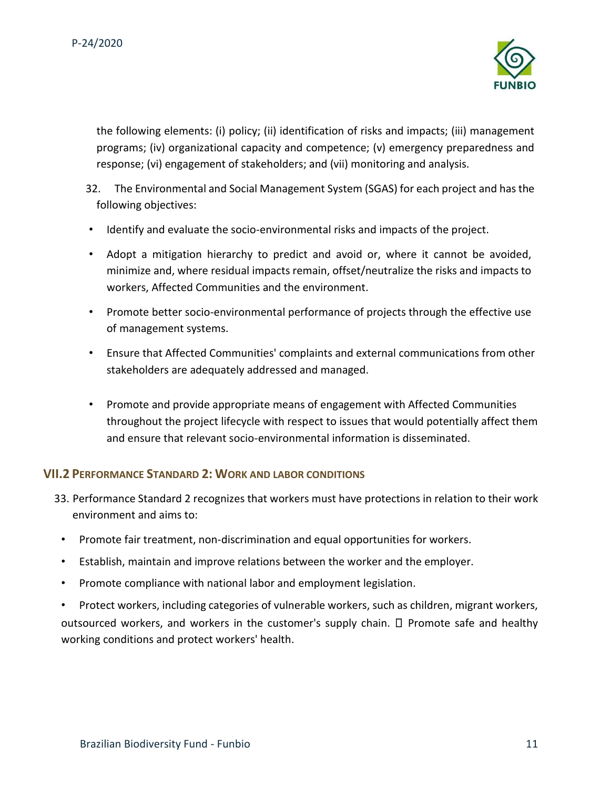

the following elements: (i) policy; (ii) identification of risks and impacts; (iii) management programs; (iv) organizational capacity and competence; (v) emergency preparedness and response; (vi) engagement of stakeholders; and (vii) monitoring and analysis.

- 32. The Environmental and Social Management System (SGAS) for each project and has the following objectives:
- Identify and evaluate the socio-environmental risks and impacts of the project.
- Adopt a mitigation hierarchy to predict and avoid or, where it cannot be avoided, minimize and, where residual impacts remain, offset/neutralize the risks and impacts to workers, Affected Communities and the environment.
- Promote better socio-environmental performance of projects through the effective use of management systems.
- Ensure that Affected Communities' complaints and external communications from other stakeholders are adequately addressed and managed.
- Promote and provide appropriate means of engagement with Affected Communities throughout the project lifecycle with respect to issues that would potentially affect them and ensure that relevant socio-environmental information is disseminated.

#### <span id="page-10-0"></span>**VII.2 PERFORMANCE STANDARD 2: WORK AND LABOR CONDITIONS**

- 33. Performance Standard 2 recognizes that workers must have protections in relation to their work environment and aims to:
- Promote fair treatment, non-discrimination and equal opportunities for workers.
- Establish, maintain and improve relations between the worker and the employer.
- Promote compliance with national labor and employment legislation.

• Protect workers, including categories of vulnerable workers, such as children, migrant workers, outsourced workers, and workers in the customer's supply chain.  $\Box$  Promote safe and healthy working conditions and protect workers' health.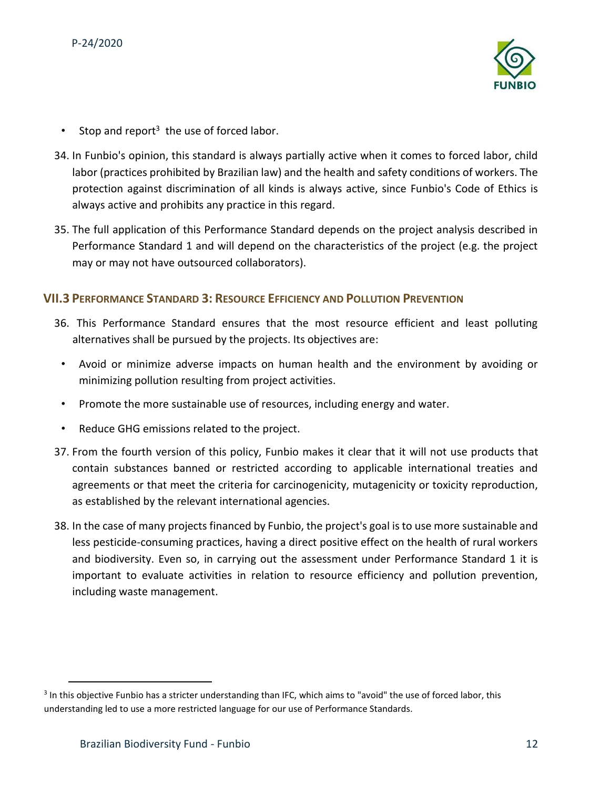

- Stop and report<sup>3</sup> the use of forced labor.
- 34. In Funbio's opinion, this standard is always partially active when it comes to forced labor, child labor (practices prohibited by Brazilian law) and the health and safety conditions of workers. The protection against discrimination of all kinds is always active, since Funbio's Code of Ethics is always active and prohibits any practice in this regard.
- 35. The full application of this Performance Standard depends on the project analysis described in Performance Standard 1 and will depend on the characteristics of the project (e.g. the project may or may not have outsourced collaborators).

#### <span id="page-11-0"></span>**VII.3 PERFORMANCE STANDARD 3: RESOURCE EFFICIENCY AND POLLUTION PREVENTION**

- 36. This Performance Standard ensures that the most resource efficient and least polluting alternatives shall be pursued by the projects. Its objectives are:
- Avoid or minimize adverse impacts on human health and the environment by avoiding or minimizing pollution resulting from project activities.
- Promote the more sustainable use of resources, including energy and water.
- Reduce GHG emissions related to the project.
- 37. From the fourth version of this policy, Funbio makes it clear that it will not use products that contain substances banned or restricted according to applicable international treaties and agreements or that meet the criteria for carcinogenicity, mutagenicity or toxicity reproduction, as established by the relevant international agencies.
- 38. In the case of many projects financed by Funbio, the project's goal is to use more sustainable and less pesticide-consuming practices, having a direct positive effect on the health of rural workers and biodiversity. Even so, in carrying out the assessment under Performance Standard 1 it is important to evaluate activities in relation to resource efficiency and pollution prevention, including waste management.

<sup>&</sup>lt;sup>3</sup> In this objective Funbio has a stricter understanding than IFC, which aims to "avoid" the use of forced labor, this understanding led to use a more restricted language for our use of Performance Standards.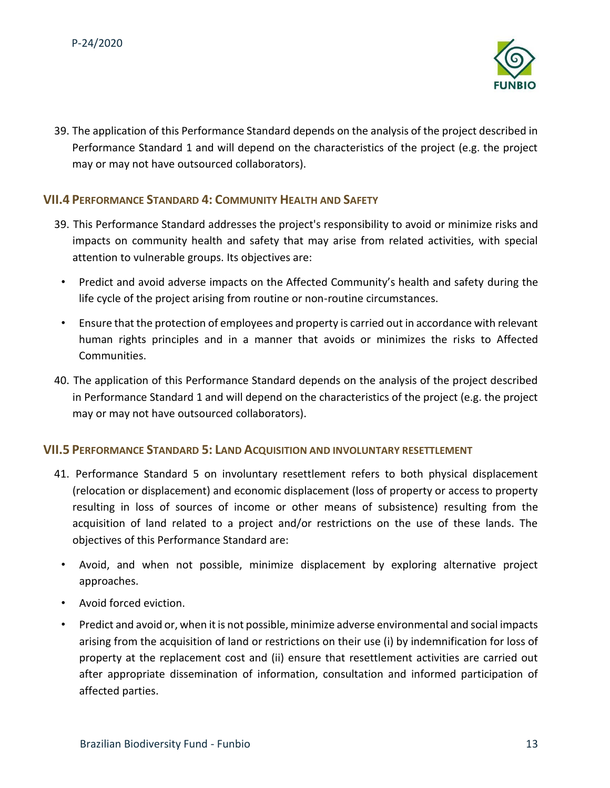

39. The application of this Performance Standard depends on the analysis of the project described in Performance Standard 1 and will depend on the characteristics of the project (e.g. the project may or may not have outsourced collaborators).

#### <span id="page-12-0"></span>**VII.4 PERFORMANCE STANDARD 4: COMMUNITY HEALTH AND SAFETY**

- 39. This Performance Standard addresses the project's responsibility to avoid or minimize risks and impacts on community health and safety that may arise from related activities, with special attention to vulnerable groups. Its objectives are:
	- Predict and avoid adverse impacts on the Affected Community's health and safety during the life cycle of the project arising from routine or non-routine circumstances.
	- Ensure that the protection of employees and property is carried out in accordance with relevant human rights principles and in a manner that avoids or minimizes the risks to Affected Communities.
- 40. The application of this Performance Standard depends on the analysis of the project described in Performance Standard 1 and will depend on the characteristics of the project (e.g. the project may or may not have outsourced collaborators).

#### <span id="page-12-1"></span>**VII.5 PERFORMANCE STANDARD 5: LAND ACQUISITION AND INVOLUNTARY RESETTLEMENT**

- 41. Performance Standard 5 on involuntary resettlement refers to both physical displacement (relocation or displacement) and economic displacement (loss of property or access to property resulting in loss of sources of income or other means of subsistence) resulting from the acquisition of land related to a project and/or restrictions on the use of these lands. The objectives of this Performance Standard are:
	- Avoid, and when not possible, minimize displacement by exploring alternative project approaches.
	- Avoid forced eviction.
	- Predict and avoid or, when it is not possible, minimize adverse environmental and social impacts arising from the acquisition of land or restrictions on their use (i) by indemnification for loss of property at the replacement cost and (ii) ensure that resettlement activities are carried out after appropriate dissemination of information, consultation and informed participation of affected parties.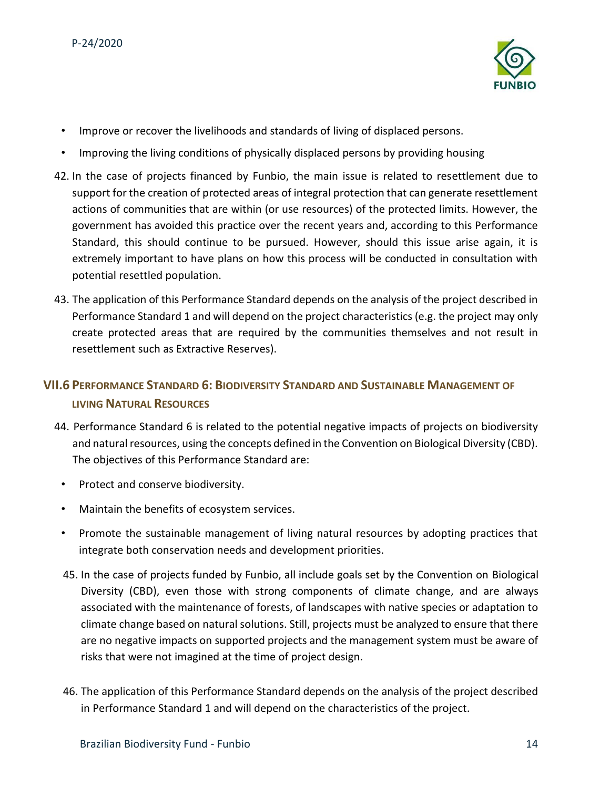

- Improve or recover the livelihoods and standards of living of displaced persons.
- Improving the living conditions of physically displaced persons by providing housing
- 42. In the case of projects financed by Funbio, the main issue is related to resettlement due to support for the creation of protected areas of integral protection that can generate resettlement actions of communities that are within (or use resources) of the protected limits. However, the government has avoided this practice over the recent years and, according to this Performance Standard, this should continue to be pursued. However, should this issue arise again, it is extremely important to have plans on how this process will be conducted in consultation with potential resettled population.
- 43. The application of this Performance Standard depends on the analysis of the project described in Performance Standard 1 and will depend on the project characteristics (e.g. the project may only create protected areas that are required by the communities themselves and not result in resettlement such as Extractive Reserves).

# <span id="page-13-0"></span>**VII.6 PERFORMANCE STANDARD 6: BIODIVERSITY STANDARD AND SUSTAINABLE MANAGEMENT OF LIVING NATURAL RESOURCES**

- 44. Performance Standard 6 is related to the potential negative impacts of projects on biodiversity and natural resources, using the concepts defined in the Convention on Biological Diversity (CBD). The objectives of this Performance Standard are:
	- Protect and conserve biodiversity.
	- Maintain the benefits of ecosystem services.
	- Promote the sustainable management of living natural resources by adopting practices that integrate both conservation needs and development priorities.
	- 45. In the case of projects funded by Funbio, all include goals set by the Convention on Biological Diversity (CBD), even those with strong components of climate change, and are always associated with the maintenance of forests, of landscapes with native species or adaptation to climate change based on natural solutions. Still, projects must be analyzed to ensure that there are no negative impacts on supported projects and the management system must be aware of risks that were not imagined at the time of project design.
	- 46. The application of this Performance Standard depends on the analysis of the project described in Performance Standard 1 and will depend on the characteristics of the project.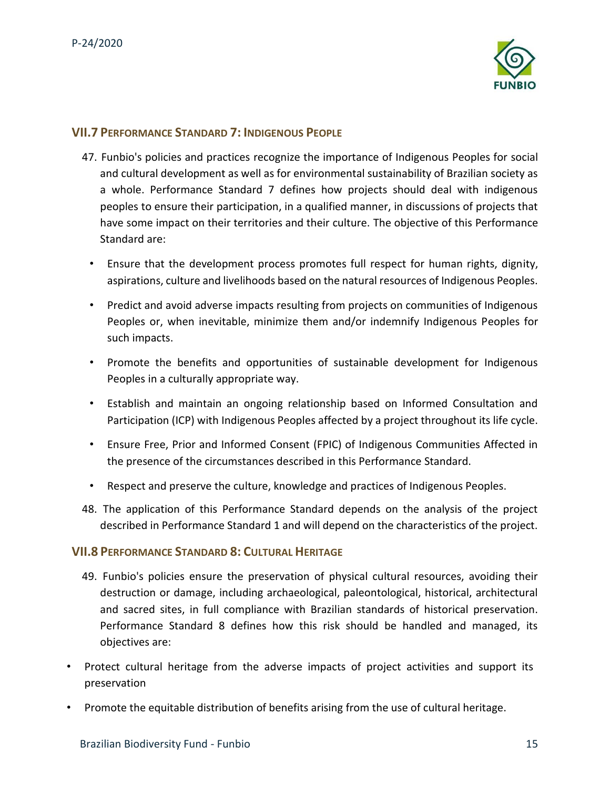

#### <span id="page-14-0"></span>**VII.7 PERFORMANCE STANDARD 7: INDIGENOUS PEOPLE**

- 47. Funbio's policies and practices recognize the importance of Indigenous Peoples for social and cultural development as well as for environmental sustainability of Brazilian society as a whole. Performance Standard 7 defines how projects should deal with indigenous peoples to ensure their participation, in a qualified manner, in discussions of projects that have some impact on their territories and their culture. The objective of this Performance Standard are:
	- Ensure that the development process promotes full respect for human rights, dignity, aspirations, culture and livelihoods based on the natural resources of Indigenous Peoples.
	- Predict and avoid adverse impacts resulting from projects on communities of Indigenous Peoples or, when inevitable, minimize them and/or indemnify Indigenous Peoples for such impacts.
	- Promote the benefits and opportunities of sustainable development for Indigenous Peoples in a culturally appropriate way.
	- Establish and maintain an ongoing relationship based on Informed Consultation and Participation (ICP) with Indigenous Peoples affected by a project throughout its life cycle.
	- Ensure Free, Prior and Informed Consent (FPIC) of Indigenous Communities Affected in the presence of the circumstances described in this Performance Standard.
	- Respect and preserve the culture, knowledge and practices of Indigenous Peoples.
- 48. The application of this Performance Standard depends on the analysis of the project described in Performance Standard 1 and will depend on the characteristics of the project.

#### <span id="page-14-1"></span>**VII.8 PERFORMANCE STANDARD 8: CULTURAL HERITAGE**

- 49. Funbio's policies ensure the preservation of physical cultural resources, avoiding their destruction or damage, including archaeological, paleontological, historical, architectural and sacred sites, in full compliance with Brazilian standards of historical preservation. Performance Standard 8 defines how this risk should be handled and managed, its objectives are:
- Protect cultural heritage from the adverse impacts of project activities and support its preservation
- Promote the equitable distribution of benefits arising from the use of cultural heritage.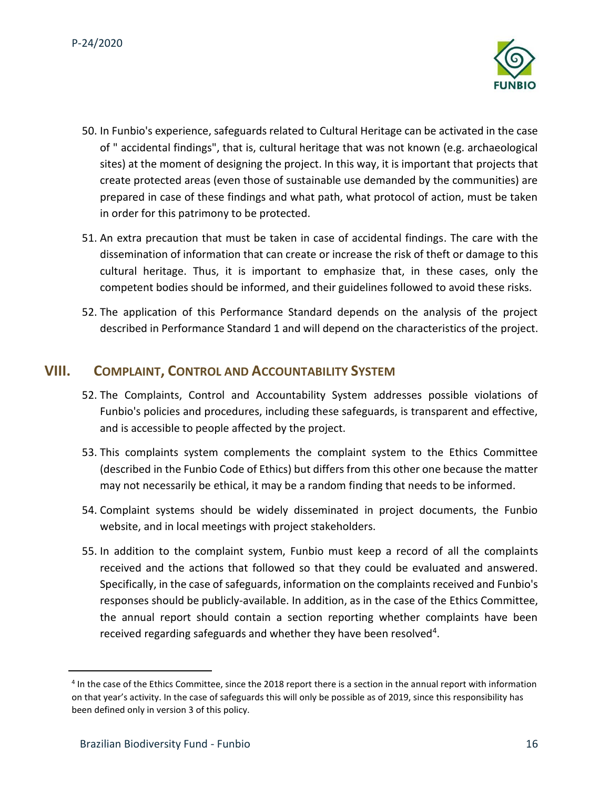

- 50. In Funbio's experience, safeguards related to Cultural Heritage can be activated in the case of " accidental findings", that is, cultural heritage that was not known (e.g. archaeological sites) at the moment of designing the project. In this way, it is important that projects that create protected areas (even those of sustainable use demanded by the communities) are prepared in case of these findings and what path, what protocol of action, must be taken in order for this patrimony to be protected.
- 51. An extra precaution that must be taken in case of accidental findings. The care with the dissemination of information that can create or increase the risk of theft or damage to this cultural heritage. Thus, it is important to emphasize that, in these cases, only the competent bodies should be informed, and their guidelines followed to avoid these risks.
- 52. The application of this Performance Standard depends on the analysis of the project described in Performance Standard 1 and will depend on the characteristics of the project.

## <span id="page-15-0"></span>**VIII. COMPLAINT, CONTROL AND ACCOUNTABILITY SYSTEM**

- 52. The Complaints, Control and Accountability System addresses possible violations of Funbio's policies and procedures, including these safeguards, is transparent and effective, and is accessible to people affected by the project.
- 53. This complaints system complements the complaint system to the Ethics Committee (described in the Funbio Code of Ethics) but differs from this other one because the matter may not necessarily be ethical, it may be a random finding that needs to be informed.
- 54. Complaint systems should be widely disseminated in project documents, the Funbio website, and in local meetings with project stakeholders.
- 55. In addition to the complaint system, Funbio must keep a record of all the complaints received and the actions that followed so that they could be evaluated and answered. Specifically, in the case of safeguards, information on the complaints received and Funbio's responses should be publicly-available. In addition, as in the case of the Ethics Committee, the annual report should contain a section reporting whether complaints have been received regarding safeguards and whether they have been resolved<sup>4</sup>.

<sup>&</sup>lt;sup>4</sup> In the case of the Ethics Committee, since the 2018 report there is a section in the annual report with information on that year's activity. In the case of safeguards this will only be possible as of 2019, since this responsibility has been defined only in version 3 of this policy.